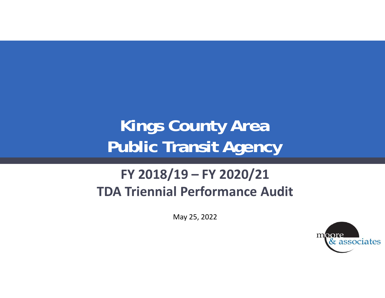# **Kings County Area Public Transit Agency**

#### **FY 2018/19 – FY 2020/21 TDA Triennial Performance Audit**

May 25, 2022

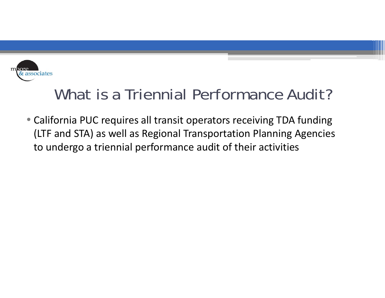

### What is a Triennial Performance Audit?

• California PUC requires all transit operators receiving TDA funding (LTF and STA) as well as Regional Transportation Planning Agencies to undergo a triennial performance audit of their activities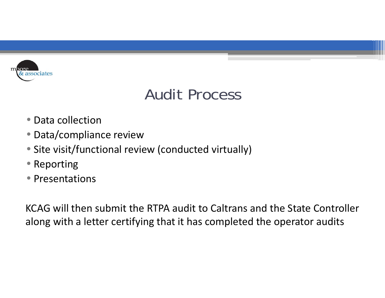

### Audit Process

- Data collection
- Data/compliance review
- Site visit/functional review (conducted virtually)
- Reporting
- Presentations

KCAG will then submit the RTPA audit to Caltrans and the State Controller along with a letter certifying that it has completed the operator audits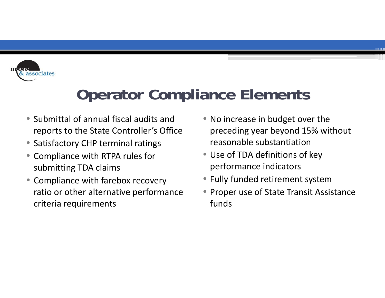

### **Operator Compliance Elements**

- Submittal of annual fiscal audits and reports to the State Controller's Office
- Satisfactory CHP terminal ratings
- • Compliance with RTPA rules for submitting TDA claims
- Compliance with farebox recovery ratio or other alternative performance criteria requirements
- No increase in budget over the preceding year beyond 15% without reasonable substantiation
- Use of TDA definitions of key performance indicators
- $\bullet$ Fully funded retirement system
- Proper use of State Transit Assistance funds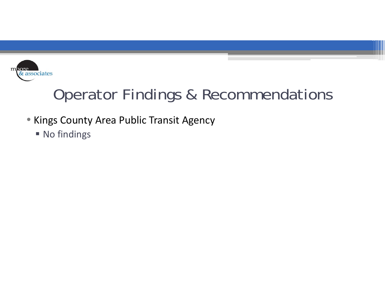

### Operator Findings & Recommendations

- Kings County Area Public Transit Agency
	- **No findings**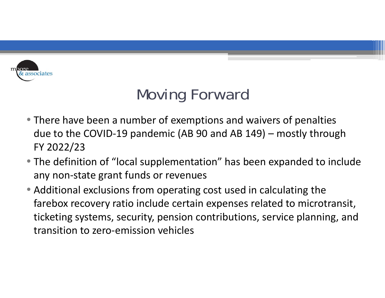

## Moving Forward

- There have been a number of exemptions and waivers of penalties due to the COVID‐19 pandemic (AB 90 and AB 149) – mostly through FY 2022/23
- The definition of "local supplementation" has been expanded to include any non‐state grant funds or revenues
- Additional exclusions from operating cost used in calculating the farebox recovery ratio include certain expenses related to microtransit, ticketing systems, security, pension contributions, service planning, and transition to zero‐emission vehicles